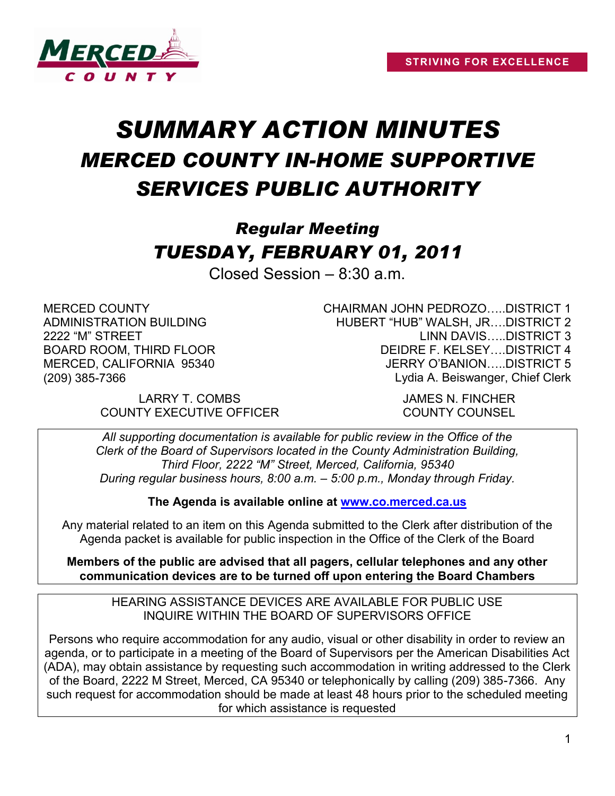

# *SUMMARY ACTION MINUTES MERCED COUNTY IN-HOME SUPPORTIVE SERVICES PUBLIC AUTHORITY*

# *Regular Meeting TUESDAY, FEBRUARY 01, 2011*

Closed Session – 8:30 a.m.

MERCED COUNTY ADMINISTRATION BUILDING 2222 "M" STREET BOARD ROOM, THIRD FLOOR MERCED, CALIFORNIA 95340 (209) 385-7366

> LARRY T. COMBS JAMES N. FINCHER COUNTY EXECUTIVE OFFICER COUNTY COUNSEL

CHAIRMAN JOHN PEDROZO…..DISTRICT 1 HUBERT "HUB" WALSH, JR….DISTRICT 2 LINN DAVIS…..DISTRICT 3 DEIDRE F. KELSEY….DISTRICT 4 JERRY O'BANION DISTRICT 5 Lydia A. Beiswanger, Chief Clerk

*All supporting documentation is available for public review in the Office of the Clerk of the Board of Supervisors located in the County Administration Building, Third Floor, 2222 "M" Street, Merced, California, 95340 During regular business hours, 8:00 a.m. – 5:00 p.m., Monday through Friday.*

**The Agenda is available online at [www.co.merced.ca.us](http://www.co.merced.ca.us/)**

Any material related to an item on this Agenda submitted to the Clerk after distribution of the Agenda packet is available for public inspection in the Office of the Clerk of the Board

**Members of the public are advised that all pagers, cellular telephones and any other communication devices are to be turned off upon entering the Board Chambers**

HEARING ASSISTANCE DEVICES ARE AVAILABLE FOR PUBLIC USE INQUIRE WITHIN THE BOARD OF SUPERVISORS OFFICE

Persons who require accommodation for any audio, visual or other disability in order to review an agenda, or to participate in a meeting of the Board of Supervisors per the American Disabilities Act (ADA), may obtain assistance by requesting such accommodation in writing addressed to the Clerk of the Board, 2222 M Street, Merced, CA 95340 or telephonically by calling (209) 385-7366. Any such request for accommodation should be made at least 48 hours prior to the scheduled meeting for which assistance is requested